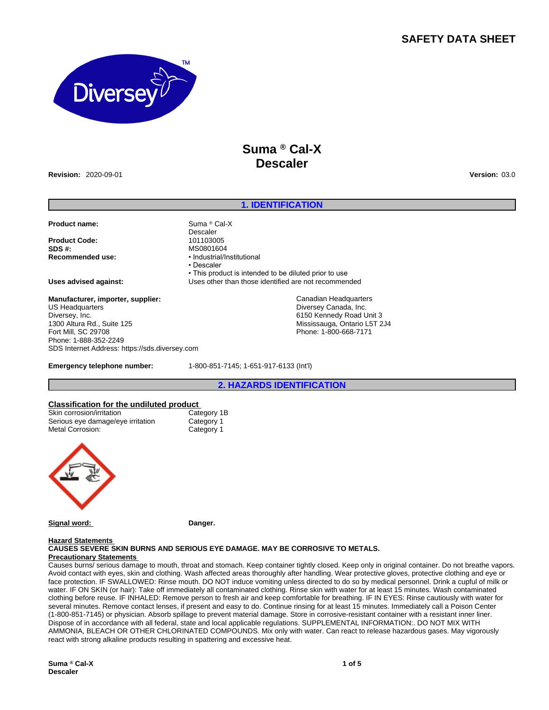## **SAFETY DATA SHEET**



## **Suma ® Cal-X Descaler**

**Revision:** 2020-09-01 **Version:** 03.0

#### **1. IDENTIFICATION**

#### **Product name:** Suma ® Cal-X

**Product Code:**<br>SDS #: **SDS #: MS0801604**<br> **Recommended use: and the system of the MS0801604** 

#### **Manufacturer, importer, supplier:**

US Headquarters Diversey, Inc. 1300 Altura Rd., Suite 125 Fort Mill, SC 29708 Phone: 1-888-352-2249 SDS Internet Address: https://sds.diversey.com

**Recommended use:** • Industrial/Institutional • Descaler • This product is intended to be diluted prior to use **Uses advised against:** Uses other than those identified are not recommended

> Canadian Headquarters Diversey Canada, Inc. 6150 Kennedy Road Unit 3 Mississauga, Ontario L5T 2J4 Phone: 1-800-668-7171

**Emergency telephone number:** 1-800-851-7145; 1-651-917-6133 (Int'l)

**2. HAZARDS IDENTIFICATION**

# **Classification for the undiluted product**

| Skin corrosion/irritation         | Category 1B |
|-----------------------------------|-------------|
| Serious eye damage/eye irritation | Category 1  |
| Metal Corrosion:                  | Category 1  |



Signal word: **Danger.** 

Descaler<br>101103005

### **Hazard Statements**

**CAUSES SEVERE SKIN BURNS AND SERIOUS EYE DAMAGE. MAY BE CORROSIVE TO METALS. Precautionary Statements** 

Causes burns/ serious damage to mouth, throat and stomach. Keep container tightly closed. Keep only in original container. Do not breathe vapors. Avoid contact with eyes, skin and clothing. Wash affected areas thoroughly after handling. Wear protective gloves, protective clothing and eye or face protection. IF SWALLOWED: Rinse mouth. DO NOT induce vomiting unless directed to do so by medical personnel. Drink a cupful of milk or water. IF ON SKIN (or hair): Take off immediately all contaminated clothing. Rinse skin with water for at least 15 minutes. Wash contaminated clothing before reuse. IF INHALED: Remove person to fresh air and keep comfortable for breathing. IF IN EYES: Rinse cautiously with water for several minutes. Remove contact lenses, if present and easy to do. Continue rinsing for at least 15 minutes. Immediately call a Poison Center (1-800-851-7145) or physician. Absorb spillage to prevent material damage. Store in corrosive-resistant container with a resistant inner liner. Dispose of in accordance with all federal, state and local applicable regulations. SUPPLEMENTAL INFORMATION:. DO NOT MIX WITH AMMONIA, BLEACH OR OTHER CHLORINATED COMPOUNDS. Mix only with water. Can react to release hazardous gases. May vigorously react with strong alkaline products resulting in spattering and excessive heat.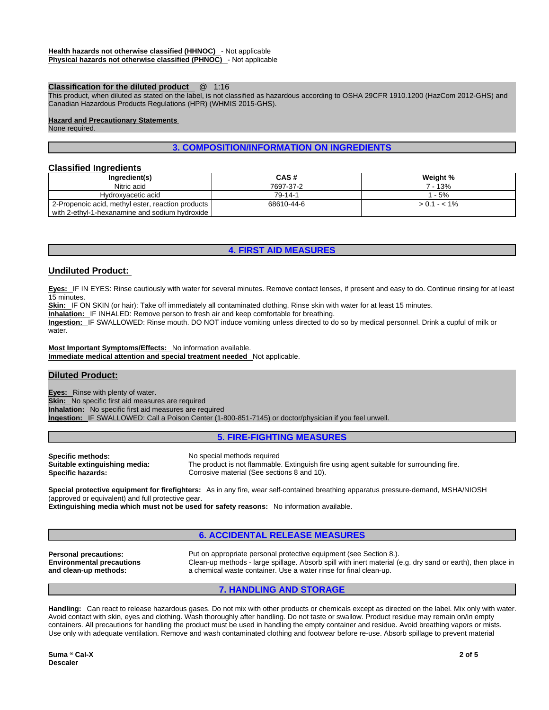#### **Classification for the diluted product** @ 1:16

This product, when diluted as stated on the label, is not classified as hazardous according to OSHA 29CFR 1910.1200 (HazCom 2012-GHS) and Canadian Hazardous Products Regulations (HPR) (WHMIS 2015-GHS).

#### **Hazard and Precautionary Statements**

None required.

## **3. COMPOSITION/INFORMATION ON INGREDIENTS**

#### **Classified Ingredients**

| Ingredient(s)                                     | CAS#       | Weight %      |
|---------------------------------------------------|------------|---------------|
| Nitric acid                                       | 7697-37-2  | 7 - 13%       |
| Hydroxyacetic acid                                | 79-14-1    | 1 - 5%        |
| 2-Propenoic acid, methyl ester, reaction products | 68610-44-6 | $> 0.1 - 1\%$ |
| with 2-ethyl-1-hexanamine and sodium hydroxide    |            |               |

### **4. FIRST AID MEASURES**

## **Undiluted Product:**

**Eyes:** IF IN EYES: Rinse cautiously with water for several minutes. Remove contact lenses, if present and easy to do. Continue rinsing for at least 15 minutes.

**Skin:** IF ON SKIN (or hair): Take off immediately all contaminated clothing. Rinse skin with water for at least 15 minutes.

**Inhalation:** IF INHALED: Remove person to fresh air and keep comfortable for breathing.

**Ingestion:** IF SWALLOWED: Rinse mouth. DO NOT induce vomiting unless directed to do so by medical personnel. Drink a cupful of milk or water.

**Most Important Symptoms/Effects:** No information available. **Immediate medical attention and special treatment needed** Not applicable.

#### **Diluted Product:**

**Eyes:** Rinse with plenty of water. **Skin:** No specific first aid measures are required **Inhalation:** No specific first aid measures are required **Ingestion:** IF SWALLOWED: Call a Poison Center (1-800-851-7145) or doctor/physician if you feel unwell.

#### **5. FIRE-FIGHTING MEASURES**

**Specific methods:** No special methods required **Suitable extinguishing media:** The product is not flammable

The product is not flammable. Extinguish fire using agent suitable for surrounding fire. **Specific hazards: Corrosive material (See sections 8 and 10).** Corrosive material (See sections 8 and 10).

**Special protective equipment for firefighters:** As in any fire, wear self-contained breathing apparatus pressure-demand, MSHA/NIOSH (approved or equivalent) and full protective gear.

**Extinguishing media which must not be used for safety reasons:** No information available.

## **6. ACCIDENTAL RELEASE MEASURES**

**Environmental precautions and clean-up methods:** 

**Personal precautions:** Put on appropriate personal protective equipment (see Section 8.). Clean-up methods - large spillage. Absorb spill with inert material (e.g. dry sand or earth), then place in a chemical waste container. Use a water rinse for final clean-up.

## **7. HANDLING AND STORAGE**

**Handling:** Can react to release hazardous gases. Do not mix with other products or chemicals except as directed on the label. Mix only with water. Avoid contact with skin, eyes and clothing. Wash thoroughly after handling. Do not taste or swallow. Product residue may remain on/in empty containers. All precautions for handling the product must be used in handling the empty container and residue. Avoid breathing vapors or mists. Use only with adequate ventilation. Remove and wash contaminated clothing and footwear before re-use. Absorb spillage to prevent material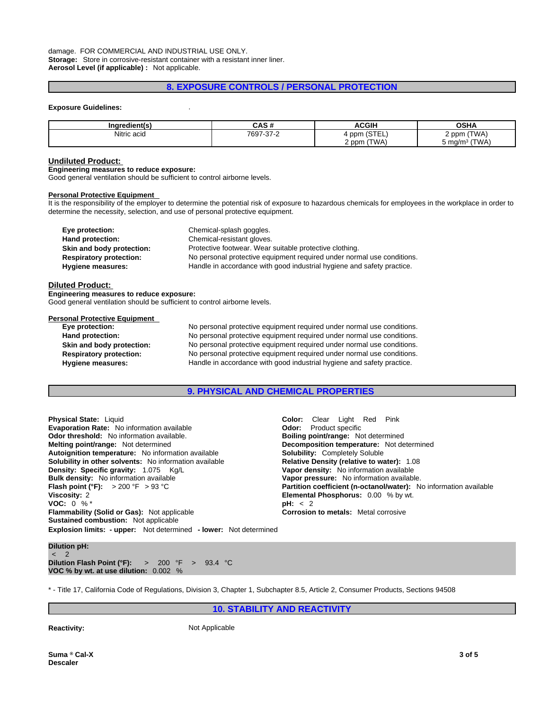## **8. EXPOSURE CONTROLS / PERSONAL PROTECTION**

#### **Exposure Guidelines:** .

| Inaradiantí c       | <b>CAC#</b><br>יי טריט | <b>ACGIH</b>                  | ^פ⊔∧<br>וחט         |
|---------------------|------------------------|-------------------------------|---------------------|
| .  .<br>Nitric acid | 7697-37-2              | $\sim$ $  \sim$<br>ppm<br>--- | <b>TWA</b><br>2 ppm |
|                     |                        | (TWA)<br>2 ppm                | (TWA)<br>. ma/mi    |

#### **Undiluted Product:**

**Engineering measures to reduce exposure:**

Good general ventilation should be sufficient to control airborne levels.

#### **Personal Protective Equipment**

It is the responsibility of the employer to determine the potential risk of exposure to hazardous chemicals for employees in the workplace in order to determine the necessity, selection, and use of personal protective equipment.

| Eye protection:                | Chemical-splash goggles.                                               |
|--------------------------------|------------------------------------------------------------------------|
| Hand protection:               | Chemical-resistant gloves.                                             |
| Skin and body protection:      | Protective footwear. Wear suitable protective clothing.                |
| <b>Respiratory protection:</b> | No personal protective equipment required under normal use conditions. |
| Hygiene measures:              | Handle in accordance with good industrial hygiene and safety practice. |

#### **Diluted Product:**

**Engineering measures to reduce exposure:** Good general ventilation should be sufficient to control airborne levels.

## **Personal Protective Equipment**

| ersonar Frotecuve Equipment    |                                                                        |
|--------------------------------|------------------------------------------------------------------------|
| Eye protection:                | No personal protective equipment required under normal use conditions. |
| Hand protection:               | No personal protective equipment required under normal use conditions. |
| Skin and body protection:      | No personal protective equipment required under normal use conditions. |
| <b>Respiratory protection:</b> | No personal protective equipment required under normal use conditions. |
| <b>Hygiene measures:</b>       | Handle in accordance with good industrial hygiene and safety practice. |
|                                |                                                                        |

#### **9. PHYSICAL AND CHEMICAL PROPERTIES**

**Explosion limits: - upper:** Not determined **- lower:** Not determined **Physical State:** Liquid **Color:** Clear Light Red Pink **Evaporation Rate:** No information available **Odor:** Product specific **Odor threshold:** No information available. **Boiling point/range:** Not determined **Melting point/range:** Not determined **Decomposition temperature:** Not determined **Autoignition temperature:** Not information available **Solubility:** Completely Soluble **Autoignition temperature:** No information available **Solubility in other solvents:** No information available **Relative Density (relative to water):** 1.08<br>**Density: Specific gravity:** 1.075 Kg/L<br>**Vapor density:** No information available **Density: Specific gravity:** 1.075 Kg/L **Bulk density:** No information available **Flash point (°F):** > 200 °F > 93 °C **Partition coefficient (n-octanol/water):** No information available **Viscosity:** 2 **Elemental Phosphorus:** 0.00 % by wt.<br>**VOC:** 0 % \* **PH:** < 2 **PH:** < 2 **VOC:** 0 % \*<br>**Flammability (Solid or Gas):** Not applicable **by the set of the Corrosion to metals:** Metal corrosive **Flammability (Solid or Gas):** Not applicable **Sustained combustion:** Not applicable

**Vapor pressure:** No information available.

**Dilution pH:** < 2 **Dilution Flash Point (°F):** > 200 °F > 93.4 °C **VOC % by wt. at use dilution:** 0.002 %

\* - Title 17, California Code of Regulations, Division 3, Chapter 1, Subchapter 8.5, Article 2, Consumer Products, Sections 94508

**10. STABILITY AND REACTIVITY**

**Reactivity:** Not Applicable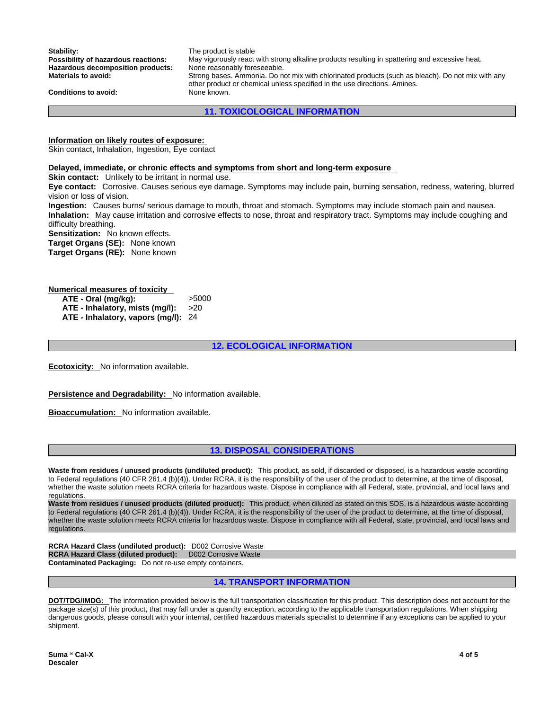**Stability:** The product is stable<br> **Possibility of hazardous reactions:** May vigorously react May vigorously react with strong alkaline products resulting in spattering and excessive heat. Hazardous decomposition products: None reasonably foreseeable. **Materials to avoid:** Strong bases. Ammonia. Do not mix with chlorinated products (such as bleach). Do not mix with any other product or chemical unless specified in the use directions. Amines. **Conditions to avoid:** None known.

**11. TOXICOLOGICAL INFORMATION**

#### **Information on likely routes of exposure:**

Skin contact, Inhalation, Ingestion, Eye contact

#### **Delayed, immediate, or chronic effects and symptoms from short and long-term exposure**

**Skin contact:** Unlikely to be irritant in normal use.

**Eye contact:** Corrosive. Causes serious eye damage. Symptoms may include pain, burning sensation, redness, watering, blurred vision or loss of vision.

**Ingestion:** Causes burns/ serious damage to mouth, throat and stomach. Symptoms may include stomach pain and nausea. **Inhalation:** May cause irritation and corrosive effects to nose, throat and respiratory tract. Symptoms may include coughing and difficulty breathing.

**Sensitization:** No known effects.

**Target Organs (SE):** None known **Target Organs (RE):** None known

## **Numerical measures of toxicity**

**ATE - Oral (mg/kg):** >5000 **ATE - Inhalatory, mists (mg/l):** >20 **ATE - Inhalatory, vapors (mg/l):** 24

**12. ECOLOGICAL INFORMATION**

**Ecotoxicity:** No information available.

**Persistence and Degradability:** No information available.

**Bioaccumulation:** No information available.

#### **13. DISPOSAL CONSIDERATIONS**

**Waste from residues / unused products (undiluted product):** This product, as sold, if discarded or disposed, is a hazardous waste according to Federal regulations (40 CFR 261.4 (b)(4)). Under RCRA, it is the responsibility of the user of the product to determine, at the time of disposal, whether the waste solution meets RCRA criteria for hazardous waste. Dispose in compliance with all Federal, state, provincial, and local laws and regulations.

**Waste from residues / unused products (diluted product):** This product, when diluted as stated on this SDS, is a hazardous waste according to Federal regulations (40 CFR 261.4 (b)(4)). Under RCRA, it is the responsibility of the user of the product to determine, at the time of disposal, whether the waste solution meets RCRA criteria for hazardous waste. Dispose in compliance with all Federal, state, provincial, and local laws and<br>regulations.

**RCRA Hazard Class (undiluted product):** D002 Corrosive Waste **RCRA Hazard Class (diluted product):** D002 Corrosive Waste **Contaminated Packaging:** Do not re-use empty containers.

## **14. TRANSPORT INFORMATION**

**DOT/TDG/IMDG:** The information provided below is the full transportation classification for this product. This description does not account for the package size(s) of this product, that may fall under a quantity exception, according to the applicable transportation regulations. When shipping dangerous goods, please consult with your internal, certified hazardous materials specialist to determine if any exceptions can be applied to your shipment.